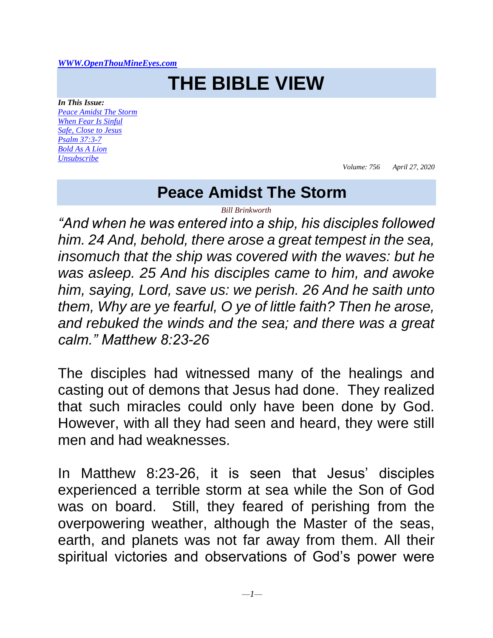#### *[WWW.OpenThouMineEyes.com](http://www.openthoumineeyes.com/)*

# **THE BIBLE VIEW**

*In This Issue: [Peace Amidst The Storm](#page-0-0) [When Fear Is Sinful](#page-2-0) [Safe, Close to Jesus](#page-3-0) [Psalm 37:3-7](#page-4-0) [Bold As A Lion](#page-5-0) [Unsubscribe](https://www.devotionsfromthebible.com/sign-up-and-comments/)*

*Volume: 756 April 27, 2020*

#### **Peace Amidst The Storm**

*Bill Brinkworth*

<span id="page-0-0"></span>*"And when he was entered into a ship, his disciples followed him. 24 And, behold, there arose a great tempest in the sea, insomuch that the ship was covered with the waves: but he was asleep. 25 And his disciples came to him, and awoke him, saying, Lord, save us: we perish. 26 And he saith unto them, Why are ye fearful, O ye of little faith? Then he arose, and rebuked the winds and the sea; and there was a great calm." Matthew 8:23-26*

The disciples had witnessed many of the healings and casting out of demons that Jesus had done. They realized that such miracles could only have been done by God. However, with all they had seen and heard, they were still men and had weaknesses.

In Matthew 8:23-26, it is seen that Jesus' disciples experienced a terrible storm at sea while the Son of God was on board. Still, they feared of perishing from the overpowering weather, although the Master of the seas, earth, and planets was not far away from them. All their spiritual victories and observations of God's power were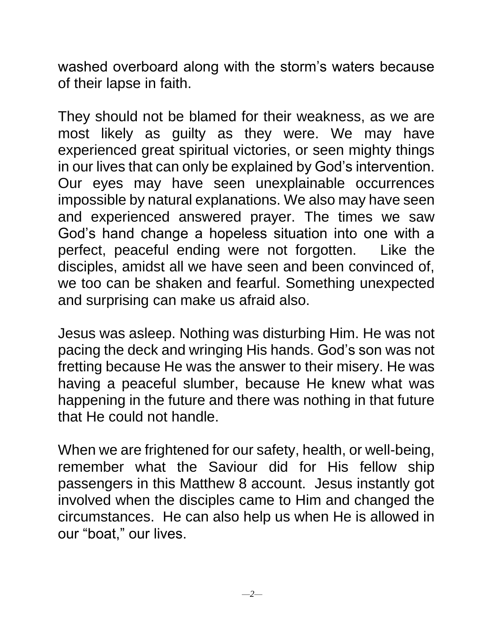washed overboard along with the storm's waters because of their lapse in faith.

They should not be blamed for their weakness, as we are most likely as guilty as they were. We may have experienced great spiritual victories, or seen mighty things in our lives that can only be explained by God's intervention. Our eyes may have seen unexplainable occurrences impossible by natural explanations. We also may have seen and experienced answered prayer. The times we saw God's hand change a hopeless situation into one with a perfect, peaceful ending were not forgotten. Like the disciples, amidst all we have seen and been convinced of, we too can be shaken and fearful. Something unexpected and surprising can make us afraid also.

Jesus was asleep. Nothing was disturbing Him. He was not pacing the deck and wringing His hands. God's son was not fretting because He was the answer to their misery. He was having a peaceful slumber, because He knew what was happening in the future and there was nothing in that future that He could not handle.

When we are frightened for our safety, health, or well-being, remember what the Saviour did for His fellow ship passengers in this Matthew 8 account. Jesus instantly got involved when the disciples came to Him and changed the circumstances. He can also help us when He is allowed in our "boat," our lives.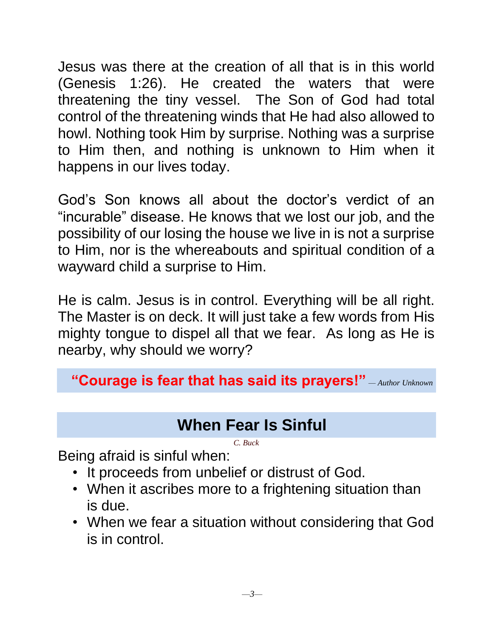Jesus was there at the creation of all that is in this world (Genesis 1:26). He created the waters that were threatening the tiny vessel. The Son of God had total control of the threatening winds that He had also allowed to howl. Nothing took Him by surprise. Nothing was a surprise to Him then, and nothing is unknown to Him when it happens in our lives today.

God's Son knows all about the doctor's verdict of an "incurable" disease. He knows that we lost our job, and the possibility of our losing the house we live in is not a surprise to Him, nor is the whereabouts and spiritual condition of a wayward child a surprise to Him.

He is calm. Jesus is in control. Everything will be all right. The Master is on deck. It will just take a few words from His mighty tongue to dispel all that we fear. As long as He is nearby, why should we worry?

#### **"Courage is fear that has said its prayers!"** *— Author Unknown*

### **When Fear Is Sinful**

*C. Buck*

<span id="page-2-0"></span>Being afraid is sinful when:

- It proceeds from unbelief or distrust of God.
- When it ascribes more to a frightening situation than is due.
- When we fear a situation without considering that God is in control.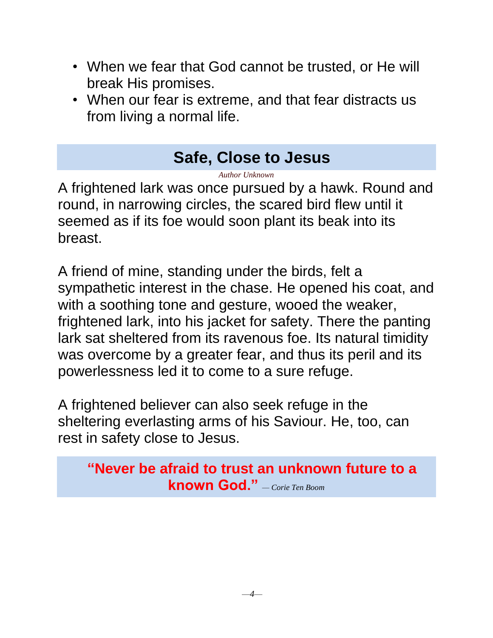- When we fear that God cannot be trusted, or He will break His promises.
- When our fear is extreme, and that fear distracts us from living a normal life.

## **Safe, Close to Jesus**

*Author Unknown*

<span id="page-3-0"></span>A frightened lark was once pursued by a hawk. Round and round, in narrowing circles, the scared bird flew until it seemed as if its foe would soon plant its beak into its breast.

A friend of mine, standing under the birds, felt a sympathetic interest in the chase. He opened his coat, and with a soothing tone and gesture, wooed the weaker, frightened lark, into his jacket for safety. There the panting lark sat sheltered from its ravenous foe. Its natural timidity was overcome by a greater fear, and thus its peril and its powerlessness led it to come to a sure refuge.

A frightened believer can also seek refuge in the sheltering everlasting arms of his Saviour. He, too, can rest in safety close to Jesus.

**"Never be afraid to trust an unknown future to a known God."** *— Corie Ten Boom*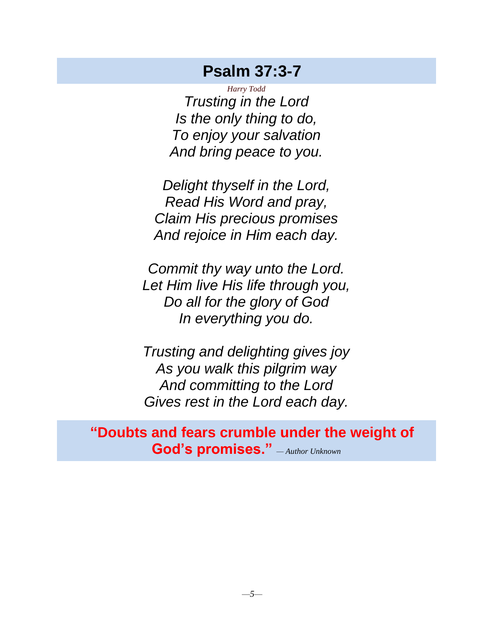#### **Psalm 37:3-7**

<span id="page-4-0"></span>*Harry Todd Trusting in the Lord Is the only thing to do, To enjoy your salvation And bring peace to you.*

*Delight thyself in the Lord, Read His Word and pray, Claim His precious promises And rejoice in Him each day.*

*Commit thy way unto the Lord. Let Him live His life through you, Do all for the glory of God In everything you do.*

*Trusting and delighting gives joy As you walk this pilgrim way And committing to the Lord Gives rest in the Lord each day.*

**"Doubts and fears crumble under the weight of God's promises."** *— Author Unknown*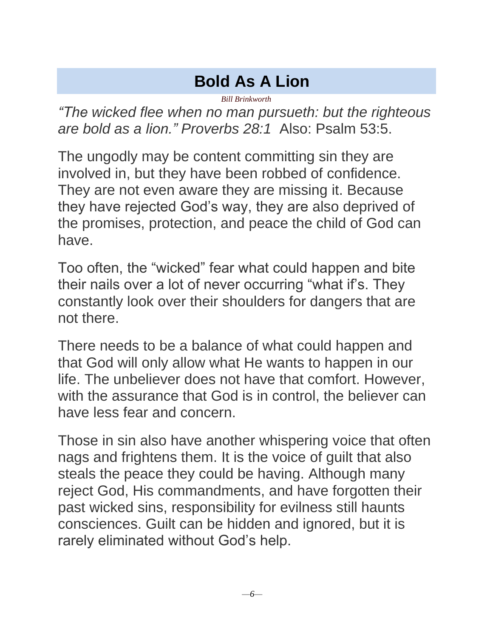## **Bold As A Lion**

*Bill Brinkworth*

<span id="page-5-0"></span>*"The wicked flee when no man pursueth: but the righteous are bold as a lion." Proverbs 28:1* Also: Psalm 53:5.

The ungodly may be content committing sin they are involved in, but they have been robbed of confidence. They are not even aware they are missing it. Because they have rejected God's way, they are also deprived of the promises, protection, and peace the child of God can have.

Too often, the "wicked" fear what could happen and bite their nails over a lot of never occurring "what if's. They constantly look over their shoulders for dangers that are not there.

There needs to be a balance of what could happen and that God will only allow what He wants to happen in our life. The unbeliever does not have that comfort. However, with the assurance that God is in control, the believer can have less fear and concern.

Those in sin also have another whispering voice that often nags and frightens them. It is the voice of guilt that also steals the peace they could be having. Although many reject God, His commandments, and have forgotten their past wicked sins, responsibility for evilness still haunts consciences. Guilt can be hidden and ignored, but it is rarely eliminated without God's help.